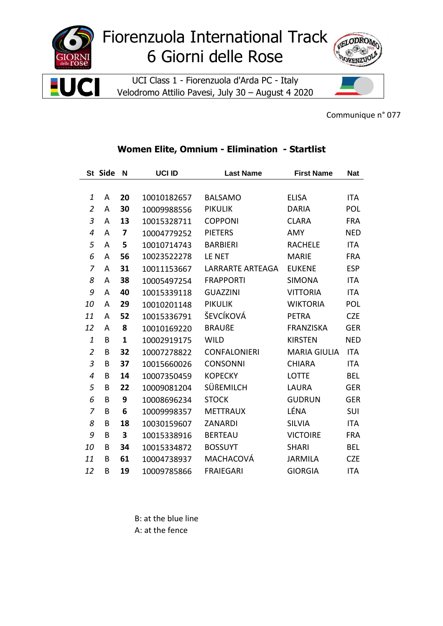

## Fiorenzuola International Track 6 Giorni delle Rose

UCI Class 1 - Fiorenzuola d'Arda PC - Italy Velodromo Attilio Pavesi, July 30 - August 4 2020



Communique n° 077

## St Side N **UCI ID Last Name First Name Nat**  $\mathbf{1}$ A 20 10010182657 **ELISA BALSAMO** ITA  $\overline{2}$  $\overline{A}$ 30 10009988556 **PIKULIK DARIA POL** 3  $\mathsf{A}$ 13 **COPPONI CLARA FRA** 10015328711  $\overline{4}$  $\overline{\mathbf{z}}$  $\overline{A}$ 10004779252 **PIETERS AMY NED** 5  $\overline{A}$  $5<sup>1</sup>$ 10010714743 **BARBIERI RACHELE ITA** 6 56 10023522278 LE NET **MARIE FRA**  $\overline{A}$  $\overline{7}$ 31 LARRARTE ARTEAGA **EUKENE ESP**  $\overline{A}$ 10011153667 8 38 **FRAPPORTI ITA**  $\overline{A}$ 10005497254 **SIMONA** 9 A 40 10015339118 **GUAZZINI VITTORIA ITA** 29 **PIKULIK** POL 10  $\overline{A}$ 10010201148 **WIKTORIA**  $52$ ŠEVCÍKOVÁ **CZE** 11  $\overline{A}$ 10015336791 **PETRA** 12  $\overline{A}$ 8 10010169220 **BRAUßE** FRANZISKA **GER**  $\mathbf{1}$ B  $\mathbf{1}$ 10002919175 **WILD KIRSTEN NED**  $\overline{2}$ 32 **CONFALONIERI** MARIA GIULIA ITA B 10007278822  $\overline{3}$ 37 **CHIARA ITA** B 10015660026 **CONSONNI**  $\overline{4}$ B 14 10007350459 **KOPECKY LOTTE BEL** 22 5  $\overline{B}$ 10009081204 SÜßEMILCH **LAURA GER** 9 6 B 10008696234 **STOCK GUDRUN GER**  $\overline{z}$ **METTRAUX** LÉNA SUI B 6 10009998357 8 B 18 10030159607 ZANARDI **SILVIA ITA** 9 **VICTOIRE** B  $\mathbf{3}$ 10015338916 **BERTEAU FRA** 34 10 B 10015334872 **BOSSUYT SHARI BEL** B 11 61 10004738937 MACHACOVÁ **JARMILA CZE** 12 B 19 **FRAIEGARI GIORGIA ITA** 10009785866

## Women Elite, Omnium - Elimination - Startlist

B: at the blue line A: at the fence